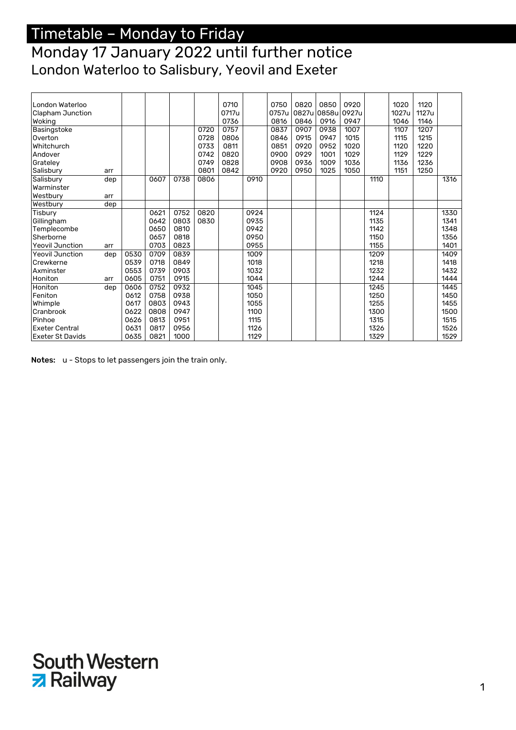#### Monday 17 January 2022 until further notice London Waterloo to Salisbury, Yeovil and Exeter

| London Waterloo         |     |      |      |      |      | 0710  |      | 0750  | 0820  | 0850        | 0920 |      | 1020  | 1120  |      |
|-------------------------|-----|------|------|------|------|-------|------|-------|-------|-------------|------|------|-------|-------|------|
| Clapham Junction        |     |      |      |      |      | 0717u |      | 0757u | 0827u | 0858u 0927u |      |      | 1027u | 1127u |      |
| Woking                  |     |      |      |      |      | 0736  |      | 0816  | 0846  | 0916        | 0947 |      | 1046  | 1146  |      |
| Basingstoke             |     |      |      |      | 0720 | 0757  |      | 0837  | 0907  | 0938        | 1007 |      | 1107  | 1207  |      |
| Overton                 |     |      |      |      | 0728 | 0806  |      | 0846  | 0915  | 0947        | 1015 |      | 1115  | 1215  |      |
| Whitchurch              |     |      |      |      | 0733 | 0811  |      | 0851  | 0920  | 0952        | 1020 |      | 1120  | 1220  |      |
| Andover                 |     |      |      |      | 0742 | 0820  |      | 0900  | 0929  | 1001        | 1029 |      | 1129  | 1229  |      |
| Grateley                |     |      |      |      | 0749 | 0828  |      | 0908  | 0936  | 1009        | 1036 |      | 1136  | 1236  |      |
| Salisbury               | arr |      |      |      | 0801 | 0842  |      | 0920  | 0950  | 1025        | 1050 |      | 1151  | 1250  |      |
| Salisbury               | dep |      | 0607 | 0738 | 0806 |       | 0910 |       |       |             |      | 1110 |       |       | 1316 |
| Warminster              |     |      |      |      |      |       |      |       |       |             |      |      |       |       |      |
| Westbury                | arr |      |      |      |      |       |      |       |       |             |      |      |       |       |      |
| Westbury                | dep |      |      |      |      |       |      |       |       |             |      |      |       |       |      |
| Tisbury                 |     |      | 0621 | 0752 | 0820 |       | 0924 |       |       |             |      | 1124 |       |       | 1330 |
| Gillingham              |     |      | 0642 | 0803 | 0830 |       | 0935 |       |       |             |      | 1135 |       |       | 1341 |
| Templecombe             |     |      | 0650 | 0810 |      |       | 0942 |       |       |             |      | 1142 |       |       | 1348 |
| Sherborne               |     |      | 0657 | 0818 |      |       | 0950 |       |       |             |      | 1150 |       |       | 1356 |
| <b>Yeovil Junction</b>  | arr |      | 0703 | 0823 |      |       | 0955 |       |       |             |      | 1155 |       |       | 1401 |
| <b>Yeovil Junction</b>  | dep | 0530 | 0709 | 0839 |      |       | 1009 |       |       |             |      | 1209 |       |       | 1409 |
| Crewkerne               |     | 0539 | 0718 | 0849 |      |       | 1018 |       |       |             |      | 1218 |       |       | 1418 |
| Axminster               |     | 0553 | 0739 | 0903 |      |       | 1032 |       |       |             |      | 1232 |       |       | 1432 |
| Honiton                 | arr | 0605 | 0751 | 0915 |      |       | 1044 |       |       |             |      | 1244 |       |       | 1444 |
| Honiton                 | dep | 0606 | 0752 | 0932 |      |       | 1045 |       |       |             |      | 1245 |       |       | 1445 |
| Feniton                 |     | 0612 | 0758 | 0938 |      |       | 1050 |       |       |             |      | 1250 |       |       | 1450 |
| Whimple                 |     | 0617 | 0803 | 0943 |      |       | 1055 |       |       |             |      | 1255 |       |       | 1455 |
| Cranbrook               |     | 0622 | 0808 | 0947 |      |       | 1100 |       |       |             |      | 1300 |       |       | 1500 |
| Pinhoe                  |     | 0626 | 0813 | 0951 |      |       | 1115 |       |       |             |      | 1315 |       |       | 1515 |
| <b>Exeter Central</b>   |     | 0631 | 0817 | 0956 |      |       | 1126 |       |       |             |      | 1326 |       |       | 1526 |
| <b>Exeter St Davids</b> |     | 0635 | 0821 | 1000 |      |       | 1129 |       |       |             |      | 1329 |       |       | 1529 |

Notes: u - Stops to let passengers join the train only.

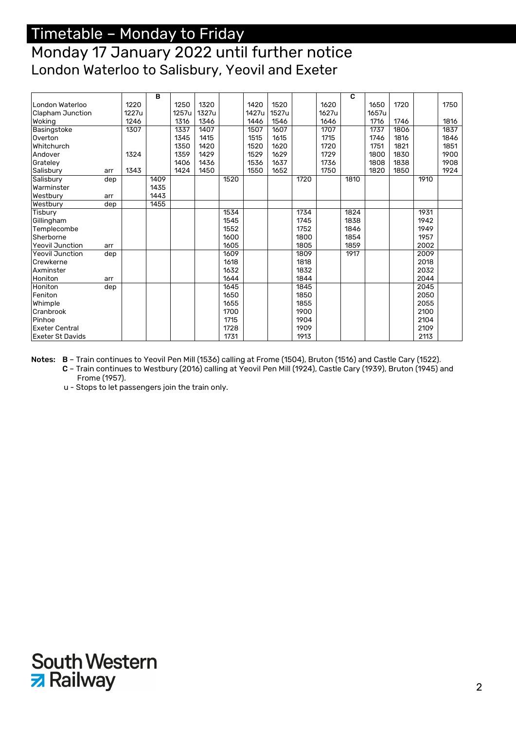### Monday 17 January 2022 until further notice London Waterloo to Salisbury, Yeovil and Exeter

|                         |     |       | B    |       |       |      |       |       |      |       | C    |       |      |      |      |
|-------------------------|-----|-------|------|-------|-------|------|-------|-------|------|-------|------|-------|------|------|------|
| London Waterloo         |     | 1220  |      | 1250  | 1320  |      | 1420  | 1520  |      | 1620  |      | 1650  | 1720 |      | 1750 |
| Clapham Junction        |     | 1227u |      | 1257u | 1327u |      | 1427u | 1527u |      | 1627u |      | 1657u |      |      |      |
| Woking                  |     | 1246  |      | 1316  | 1346  |      | 1446  | 1546  |      | 1646  |      | 1716  | 1746 |      | 1816 |
| Basingstoke             |     | 1307  |      | 1337  | 1407  |      | 1507  | 1607  |      | 1707  |      | 1737  | 1806 |      | 1837 |
| Overton                 |     |       |      | 1345  | 1415  |      | 1515  | 1615  |      | 1715  |      | 1746  | 1816 |      | 1846 |
| Whitchurch              |     |       |      | 1350  | 1420  |      | 1520  | 1620  |      | 1720  |      | 1751  | 1821 |      | 1851 |
| Andover                 |     | 1324  |      | 1359  | 1429  |      | 1529  | 1629  |      | 1729  |      | 1800  | 1830 |      | 1900 |
| Grateley                |     |       |      | 1406  | 1436  |      | 1536  | 1637  |      | 1736  |      | 1808  | 1838 |      | 1908 |
| Salisbury               | arr | 1343  |      | 1424  | 1450  |      | 1550  | 1652  |      | 1750  |      | 1820  | 1850 |      | 1924 |
| Salisbury               | dep |       | 1409 |       |       | 1520 |       |       | 1720 |       | 1810 |       |      | 1910 |      |
| Warminster              |     |       | 1435 |       |       |      |       |       |      |       |      |       |      |      |      |
| Westbury                | arr |       | 1443 |       |       |      |       |       |      |       |      |       |      |      |      |
| Westbury                | dep |       | 1455 |       |       |      |       |       |      |       |      |       |      |      |      |
| Tisbury                 |     |       |      |       |       | 1534 |       |       | 1734 |       | 1824 |       |      | 1931 |      |
| Gillingham              |     |       |      |       |       | 1545 |       |       | 1745 |       | 1838 |       |      | 1942 |      |
| Templecombe             |     |       |      |       |       | 1552 |       |       | 1752 |       | 1846 |       |      | 1949 |      |
| Sherborne               |     |       |      |       |       | 1600 |       |       | 1800 |       | 1854 |       |      | 1957 |      |
| <b>Yeovil Junction</b>  | arr |       |      |       |       | 1605 |       |       | 1805 |       | 1859 |       |      | 2002 |      |
| <b>Yeovil Junction</b>  | dep |       |      |       |       | 1609 |       |       | 1809 |       | 1917 |       |      | 2009 |      |
| Crewkerne               |     |       |      |       |       | 1618 |       |       | 1818 |       |      |       |      | 2018 |      |
| Axminster               |     |       |      |       |       | 1632 |       |       | 1832 |       |      |       |      | 2032 |      |
| Honiton                 | arr |       |      |       |       | 1644 |       |       | 1844 |       |      |       |      | 2044 |      |
| Honiton                 | dep |       |      |       |       | 1645 |       |       | 1845 |       |      |       |      | 2045 |      |
| Feniton                 |     |       |      |       |       | 1650 |       |       | 1850 |       |      |       |      | 2050 |      |
| Whimple                 |     |       |      |       |       | 1655 |       |       | 1855 |       |      |       |      | 2055 |      |
| Cranbrook               |     |       |      |       |       | 1700 |       |       | 1900 |       |      |       |      | 2100 |      |
| Pinhoe                  |     |       |      |       |       | 1715 |       |       | 1904 |       |      |       |      | 2104 |      |
| <b>Exeter Central</b>   |     |       |      |       |       | 1728 |       |       | 1909 |       |      |       |      | 2109 |      |
| <b>Exeter St Davids</b> |     |       |      |       |       | 1731 |       |       | 1913 |       |      |       |      | 2113 |      |

Notes: B – Train continues to Yeovil Pen Mill (1536) calling at Frome (1504), Bruton (1516) and Castle Cary (1522).

C – Train continues to Westbury (2016) calling at Yeovil Pen Mill (1924), Castle Cary (1939), Bruton (1945) and Frome (1957).

u - Stops to let passengers join the train only.

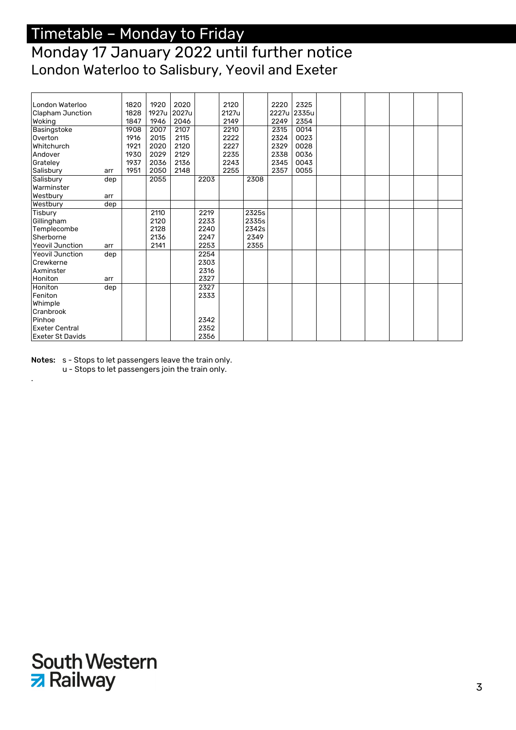### Monday 17 January 2022 until further notice London Waterloo to Salisbury, Yeovil and Exeter

| London Waterloo         |     | 1820 | 1920  | 2020  |      | 2120  |       | 2220  | 2325  |  |  |  |
|-------------------------|-----|------|-------|-------|------|-------|-------|-------|-------|--|--|--|
| Clapham Junction        |     | 1828 | 1927u | 2027u |      | 2127u |       | 2227u | 2335u |  |  |  |
| Woking                  |     | 1847 | 1946  | 2046  |      | 2149  |       | 2249  | 2354  |  |  |  |
| Basingstoke             |     | 1908 | 2007  | 2107  |      | 2210  |       | 2315  | 0014  |  |  |  |
| Overton                 |     | 1916 | 2015  | 2115  |      | 2222  |       | 2324  | 0023  |  |  |  |
| Whitchurch              |     | 1921 | 2020  | 2120  |      | 2227  |       | 2329  | 0028  |  |  |  |
| Andover                 |     | 1930 | 2029  | 2129  |      | 2235  |       | 2338  | 0036  |  |  |  |
| Grateley                |     | 1937 | 2036  | 2136  |      | 2243  |       | 2345  | 0043  |  |  |  |
| Salisbury               | arr | 1951 | 2050  | 2148  |      | 2255  |       | 2357  | 0055  |  |  |  |
| Salisbury               | dep |      | 2055  |       | 2203 |       | 2308  |       |       |  |  |  |
| Warminster              |     |      |       |       |      |       |       |       |       |  |  |  |
| Westbury                | arr |      |       |       |      |       |       |       |       |  |  |  |
| Westbury                | dep |      |       |       |      |       |       |       |       |  |  |  |
| Tisbury                 |     |      | 2110  |       | 2219 |       | 2325s |       |       |  |  |  |
| Gillingham              |     |      | 2120  |       | 2233 |       | 2335s |       |       |  |  |  |
| Templecombe             |     |      | 2128  |       | 2240 |       | 2342s |       |       |  |  |  |
| Sherborne               |     |      | 2136  |       | 2247 |       | 2349  |       |       |  |  |  |
| <b>Yeovil Junction</b>  | arr |      | 2141  |       | 2253 |       | 2355  |       |       |  |  |  |
| <b>Yeovil Junction</b>  | dep |      |       |       | 2254 |       |       |       |       |  |  |  |
| Crewkerne               |     |      |       |       | 2303 |       |       |       |       |  |  |  |
| Axminster               |     |      |       |       | 2316 |       |       |       |       |  |  |  |
| Honiton                 | arr |      |       |       | 2327 |       |       |       |       |  |  |  |
| Honiton                 | dep |      |       |       | 2327 |       |       |       |       |  |  |  |
| Feniton                 |     |      |       |       | 2333 |       |       |       |       |  |  |  |
| Whimple                 |     |      |       |       |      |       |       |       |       |  |  |  |
| Cranbrook               |     |      |       |       |      |       |       |       |       |  |  |  |
| Pinhoe                  |     |      |       |       | 2342 |       |       |       |       |  |  |  |
| <b>Exeter Central</b>   |     |      |       |       | 2352 |       |       |       |       |  |  |  |
| <b>Exeter St Davids</b> |     |      |       |       | 2356 |       |       |       |       |  |  |  |

Notes: s - Stops to let passengers leave the train only.

.

u - Stops to let passengers join the train only.

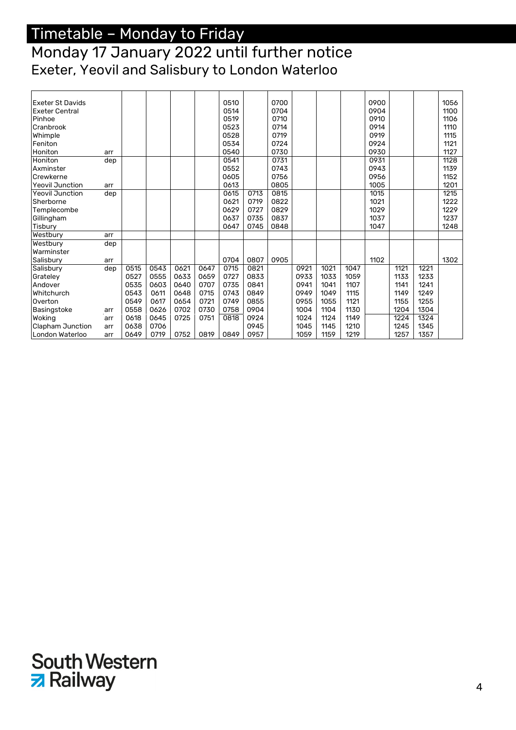#### Monday 17 January 2022 until further notice Exeter, Yeovil and Salisbury to London Waterloo

| <b>Exeter St Davids</b> |     |      |      |      |      | 0510 |      | 0700 |      |      |      | 0900 |      |      | 1056 |
|-------------------------|-----|------|------|------|------|------|------|------|------|------|------|------|------|------|------|
| <b>Exeter Central</b>   |     |      |      |      |      | 0514 |      | 0704 |      |      |      | 0904 |      |      | 1100 |
| Pinhoe                  |     |      |      |      |      | 0519 |      | 0710 |      |      |      | 0910 |      |      | 1106 |
| Cranbrook               |     |      |      |      |      | 0523 |      | 0714 |      |      |      | 0914 |      |      | 1110 |
| Whimple                 |     |      |      |      |      | 0528 |      | 0719 |      |      |      | 0919 |      |      | 1115 |
| Feniton                 |     |      |      |      |      | 0534 |      | 0724 |      |      |      | 0924 |      |      | 1121 |
| Honiton                 | arr |      |      |      |      | 0540 |      | 0730 |      |      |      | 0930 |      |      | 1127 |
| Honiton                 | dep |      |      |      |      | 0541 |      | 0731 |      |      |      | 0931 |      |      | 1128 |
| Axminster               |     |      |      |      |      | 0552 |      | 0743 |      |      |      | 0943 |      |      | 1139 |
| Crewkerne               |     |      |      |      |      | 0605 |      | 0756 |      |      |      | 0956 |      |      | 1152 |
| <b>Yeovil Junction</b>  | arr |      |      |      |      | 0613 |      | 0805 |      |      |      | 1005 |      |      | 1201 |
| <b>Yeovil Junction</b>  | dep |      |      |      |      | 0615 | 0713 | 0815 |      |      |      | 1015 |      |      | 1215 |
| Sherborne               |     |      |      |      |      | 0621 | 0719 | 0822 |      |      |      | 1021 |      |      | 1222 |
| Templecombe             |     |      |      |      |      | 0629 | 0727 | 0829 |      |      |      | 1029 |      |      | 1229 |
| Gillingham              |     |      |      |      |      | 0637 | 0735 | 0837 |      |      |      | 1037 |      |      | 1237 |
| Tisbury                 |     |      |      |      |      | 0647 | 0745 | 0848 |      |      |      | 1047 |      |      | 1248 |
| Westbury                | arr |      |      |      |      |      |      |      |      |      |      |      |      |      |      |
| Westbury                | dep |      |      |      |      |      |      |      |      |      |      |      |      |      |      |
| Warminster              |     |      |      |      |      |      |      |      |      |      |      |      |      |      |      |
| Salisbury               | arr |      |      |      |      | 0704 | 0807 | 0905 |      |      |      | 1102 |      |      | 1302 |
| Salisbury               | dep | 0515 | 0543 | 0621 | 0647 | 0715 | 0821 |      | 0921 | 1021 | 1047 |      | 1121 | 1221 |      |
| Grateley                |     | 0527 | 0555 | 0633 | 0659 | 0727 | 0833 |      | 0933 | 1033 | 1059 |      | 1133 | 1233 |      |
| Andover                 |     | 0535 | 0603 | 0640 | 0707 | 0735 | 0841 |      | 0941 | 1041 | 1107 |      | 1141 | 1241 |      |
| Whitchurch              |     | 0543 | 0611 | 0648 | 0715 | 0743 | 0849 |      | 0949 | 1049 | 1115 |      | 1149 | 1249 |      |
| Overton                 |     | 0549 | 0617 | 0654 | 0721 | 0749 | 0855 |      | 0955 | 1055 | 1121 |      | 1155 | 1255 |      |
| Basingstoke             | arr | 0558 | 0626 | 0702 | 0730 | 0758 | 0904 |      | 1004 | 1104 | 1130 |      | 1204 | 1304 |      |
| Woking                  | arr | 0618 | 0645 | 0725 | 0751 | 0818 | 0924 |      | 1024 | 1124 | 1149 |      | 1224 | 1324 |      |
| Clapham Junction        | arr | 0638 | 0706 |      |      |      | 0945 |      | 1045 | 1145 | 1210 |      | 1245 | 1345 |      |
| London Waterloo         | arr | 0649 | 0719 | 0752 | 0819 | 0849 | 0957 |      | 1059 | 1159 | 1219 |      | 1257 | 1357 |      |

## **South Western z** Railway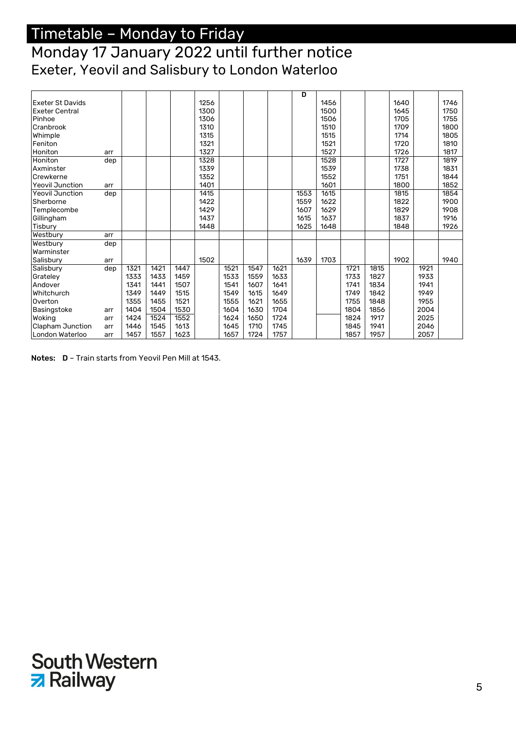#### Monday 17 January 2022 until further notice Exeter, Yeovil and Salisbury to London Waterloo

|                         |     |      |      |      |      |      |      |      | D    |      |      |      |      |      |      |
|-------------------------|-----|------|------|------|------|------|------|------|------|------|------|------|------|------|------|
| <b>Exeter St Davids</b> |     |      |      |      | 1256 |      |      |      |      | 1456 |      |      | 1640 |      | 1746 |
| <b>Exeter Central</b>   |     |      |      |      | 1300 |      |      |      |      | 1500 |      |      | 1645 |      | 1750 |
| Pinhoe                  |     |      |      |      | 1306 |      |      |      |      | 1506 |      |      | 1705 |      | 1755 |
| Cranbrook               |     |      |      |      | 1310 |      |      |      |      | 1510 |      |      | 1709 |      | 1800 |
| Whimple                 |     |      |      |      | 1315 |      |      |      |      | 1515 |      |      | 1714 |      | 1805 |
| Feniton                 |     |      |      |      | 1321 |      |      |      |      | 1521 |      |      | 1720 |      | 1810 |
| Honiton                 | arr |      |      |      | 1327 |      |      |      |      | 1527 |      |      | 1726 |      | 1817 |
| Honiton                 | dep |      |      |      | 1328 |      |      |      |      | 1528 |      |      | 1727 |      | 1819 |
| Axminster               |     |      |      |      | 1339 |      |      |      |      | 1539 |      |      | 1738 |      | 1831 |
| Crewkerne               |     |      |      |      | 1352 |      |      |      |      | 1552 |      |      | 1751 |      | 1844 |
| <b>Yeovil Junction</b>  | arr |      |      |      | 1401 |      |      |      |      | 1601 |      |      | 1800 |      | 1852 |
| <b>Yeovil Junction</b>  | dep |      |      |      | 1415 |      |      |      | 1553 | 1615 |      |      | 1815 |      | 1854 |
| Sherborne               |     |      |      |      | 1422 |      |      |      | 1559 | 1622 |      |      | 1822 |      | 1900 |
| Templecombe             |     |      |      |      | 1429 |      |      |      | 1607 | 1629 |      |      | 1829 |      | 1908 |
| Gillingham              |     |      |      |      | 1437 |      |      |      | 1615 | 1637 |      |      | 1837 |      | 1916 |
| Tisbury                 |     |      |      |      | 1448 |      |      |      | 1625 | 1648 |      |      | 1848 |      | 1926 |
| Westbury                | arr |      |      |      |      |      |      |      |      |      |      |      |      |      |      |
| Westbury                | dep |      |      |      |      |      |      |      |      |      |      |      |      |      |      |
| Warminster              |     |      |      |      |      |      |      |      |      |      |      |      |      |      |      |
| Salisbury               | arr |      |      |      | 1502 |      |      |      | 1639 | 1703 |      |      | 1902 |      | 1940 |
| Salisbury               | dep | 1321 | 1421 | 1447 |      | 1521 | 1547 | 1621 |      |      | 1721 | 1815 |      | 1921 |      |
| Grateley                |     | 1333 | 1433 | 1459 |      | 1533 | 1559 | 1633 |      |      | 1733 | 1827 |      | 1933 |      |
| Andover                 |     | 1341 | 1441 | 1507 |      | 1541 | 1607 | 1641 |      |      | 1741 | 1834 |      | 1941 |      |
| Whitchurch              |     | 1349 | 1449 | 1515 |      | 1549 | 1615 | 1649 |      |      | 1749 | 1842 |      | 1949 |      |
| Overton                 |     | 1355 | 1455 | 1521 |      | 1555 | 1621 | 1655 |      |      | 1755 | 1848 |      | 1955 |      |
| Basingstoke             | arr | 1404 | 1504 | 1530 |      | 1604 | 1630 | 1704 |      |      | 1804 | 1856 |      | 2004 |      |
| Woking                  | arr | 1424 | 1524 | 1552 |      | 1624 | 1650 | 1724 |      |      | 1824 | 1917 |      | 2025 |      |
| <b>Clapham Junction</b> | arr | 1446 | 1545 | 1613 |      | 1645 | 1710 | 1745 |      |      | 1845 | 1941 |      | 2046 |      |
| London Waterloo         | arr | 1457 | 1557 | 1623 |      | 1657 | 1724 | 1757 |      |      | 1857 | 1957 |      | 2057 |      |

Notes: D – Train starts from Yeovil Pen Mill at 1543.